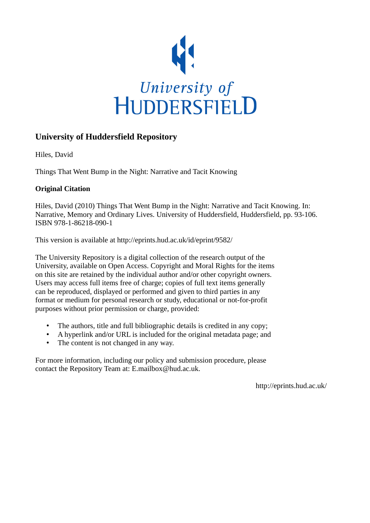

# **University of Huddersfield Repository**

Hiles, David

Things That Went Bump in the Night: Narrative and Tacit Knowing

# **Original Citation**

Hiles, David (2010) Things That Went Bump in the Night: Narrative and Tacit Knowing. In: Narrative, Memory and Ordinary Lives. University of Huddersfield, Huddersfield, pp. 93-106. ISBN 978-1-86218-090-1

This version is available at http://eprints.hud.ac.uk/id/eprint/9582/

The University Repository is a digital collection of the research output of the University, available on Open Access. Copyright and Moral Rights for the items on this site are retained by the individual author and/or other copyright owners. Users may access full items free of charge; copies of full text items generally can be reproduced, displayed or performed and given to third parties in any format or medium for personal research or study, educational or not-for-profit purposes without prior permission or charge, provided:

- The authors, title and full bibliographic details is credited in any copy;
- A hyperlink and/or URL is included for the original metadata page; and
- The content is not changed in any way.

For more information, including our policy and submission procedure, please contact the Repository Team at: E.mailbox@hud.ac.uk.

http://eprints.hud.ac.uk/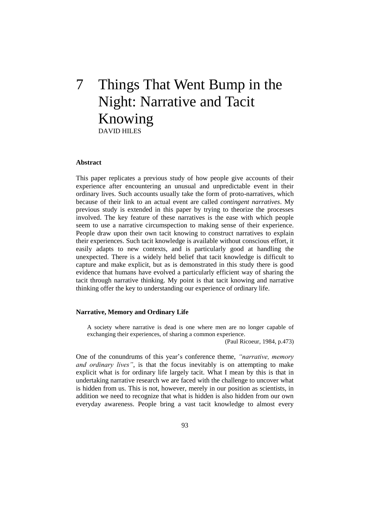# 7 Things That Went Bump in the Night: Narrative and Tacit Knowing DAVID HILES

# **Abstract**

This paper replicates a previous study of how people give accounts of their experience after encountering an unusual and unpredictable event in their ordinary lives. Such accounts usually take the form of proto-narratives, which because of their link to an actual event are called *contingent narratives*. My previous study is extended in this paper by trying to theorize the processes involved. The key feature of these narratives is the ease with which people seem to use a narrative circumspection to making sense of their experience. People draw upon their own tacit knowing to construct narratives to explain their experiences. Such tacit knowledge is available without conscious effort, it easily adapts to new contexts, and is particularly good at handling the unexpected. There is a widely held belief that tacit knowledge is difficult to capture and make explicit, but as is demonstrated in this study there is good evidence that humans have evolved a particularly efficient way of sharing the tacit through narrative thinking. My point is that tacit knowing and narrative thinking offer the key to understanding our experience of ordinary life.

# **Narrative, Memory and Ordinary Life**

A society where narrative is dead is one where men are no longer capable of exchanging their experiences, of sharing a common experience.

(Paul Ricoeur, 1984, p.473)

One of the conundrums of this year's conference theme, *"narrative, memory and ordinary lives"*, is that the focus inevitably is on attempting to make explicit what is for ordinary life largely tacit. What I mean by this is that in undertaking narrative research we are faced with the challenge to uncover what is hidden from us. This is not, however, merely in our position as scientists, in addition we need to recognize that what is hidden is also hidden from our own everyday awareness. People bring a vast tacit knowledge to almost every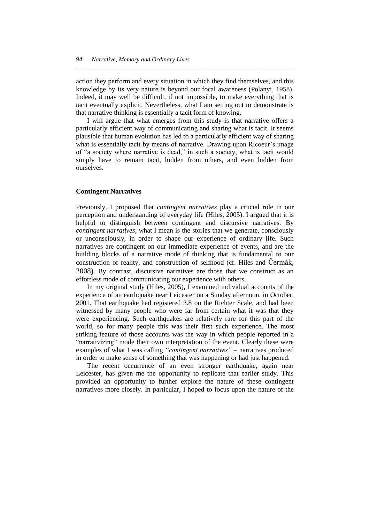action they perform and every situation in which they find themselves, and this knowledge by its very nature is beyond our focal awareness (Polanyi, 1958). Indeed, it may well be difficult, if not impossible, to make everything that is tacit eventually explicit. Nevertheless, what I am setting out to demonstrate is that narrative thinking is essentially a tacit form of knowing.

*\_\_\_\_\_\_\_\_\_\_\_\_\_\_\_\_\_\_\_\_\_\_\_\_\_\_\_\_\_\_\_\_\_\_\_\_\_\_\_\_\_\_\_\_\_\_\_\_\_\_\_\_\_\_\_\_\_\_\_\_\_\_\_\_\_\_\_\_\_\_*

I will argue that what emerges from this study is that narrative offers a particularly efficient way of communicating and sharing what is tacit. It seems plausible that human evolution has led to a particularly efficient way of sharing what is essentially tacit by means of narrative. Drawing upon Ricoeur's image of "a society where narrative is dead," in such a society, what is tacit would simply have to remain tacit, hidden from others, and even hidden from ourselves.

# **Contingent Narratives**

Previously, I proposed that *contingent narratives* play a crucial role in our perception and understanding of everyday life (Hiles, 2005). I argued that it is helpful to distinguish between contingent and discursive narratives. By *contingent narratives*, what I mean is the stories that we generate, consciously or unconsciously, in order to shape our experience of ordinary life. Such narratives are contingent on our immediate experience of events, and are the building blocks of a narrative mode of thinking that is fundamental to our construction of reality, and construction of selfhood (cf. Hiles and Čermák, 2008). By contrast, discursive narratives are those that we construct as an effortless mode of communicating our experience with others.

In my original study (Hiles, 2005), I examined individual accounts of the experience of an earthquake near Leicester on a Sunday afternoon, in October, 2001. That earthquake had registered 3.8 on the Richter Scale, and had been witnessed by many people who were far from certain what it was that they were experiencing. Such earthquakes are relatively rare for this part of the world, so for many people this was their first such experience. The most striking feature of those accounts was the way in which people reported in a "narrativizing" mode their own interpretation of the event. Clearly these were examples of what I was calling *"contingent narratives"* – narratives produced in order to make sense of something that was happening or had just happened.

The recent occurrence of an even stronger earthquake, again near Leicester, has given me the opportunity to replicate that earlier study. This provided an opportunity to further explore the nature of these contingent narratives more closely. In particular, I hoped to focus upon the nature of the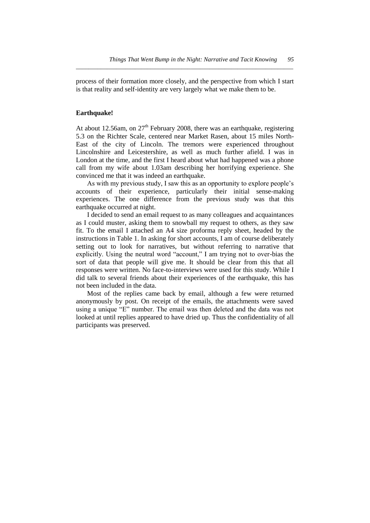process of their formation more closely, and the perspective from which I start is that reality and self-identity are very largely what we make them to be.

*\_\_\_\_\_\_\_\_\_\_\_\_\_\_\_\_\_\_\_\_\_\_\_\_\_\_\_\_\_\_\_\_\_\_\_\_\_\_\_\_\_\_\_\_\_\_\_\_\_\_\_\_\_\_\_\_\_\_\_\_\_\_\_\_\_\_\_\_\_\_*

# **Earthquake!**

At about 12.56am, on  $27<sup>th</sup>$  February 2008, there was an earthquake, registering 5.3 on the Richter Scale, centered near Market Rasen, about 15 miles North-East of the city of Lincoln. The tremors were experienced throughout Lincolnshire and Leicestershire, as well as much further afield. I was in London at the time, and the first I heard about what had happened was a phone call from my wife about 1.03am describing her horrifying experience. She convinced me that it was indeed an earthquake.

As with my previous study, I saw this as an opportunity to explore people's accounts of their experience, particularly their initial sense-making experiences. The one difference from the previous study was that this earthquake occurred at night.

I decided to send an email request to as many colleagues and acquaintances as I could muster, asking them to snowball my request to others, as they saw fit. To the email I attached an A4 size proforma reply sheet, headed by the instructions in Table 1. In asking for short accounts, I am of course deliberately setting out to look for narratives, but without referring to narrative that explicitly. Using the neutral word "account," I am trying not to over-bias the sort of data that people will give me. It should be clear from this that all responses were written. No face-to-interviews were used for this study. While I did talk to several friends about their experiences of the earthquake, this has not been included in the data.

Most of the replies came back by email, although a few were returned anonymously by post. On receipt of the emails, the attachments were saved using a unique "E" number. The email was then deleted and the data was not looked at until replies appeared to have dried up. Thus the confidentiality of all participants was preserved.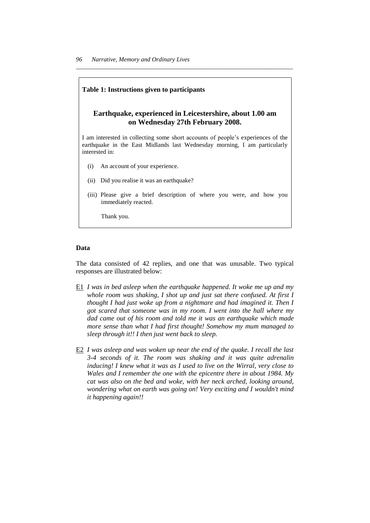## **Table 1: Instructions given to participants**

# **Earthquake, experienced in Leicestershire, about 1.00 am on Wednesday 27th February 2008.**

*\_\_\_\_\_\_\_\_\_\_\_\_\_\_\_\_\_\_\_\_\_\_\_\_\_\_\_\_\_\_\_\_\_\_\_\_\_\_\_\_\_\_\_\_\_\_\_\_\_\_\_\_\_\_\_\_\_\_\_\_\_\_\_\_\_\_\_\_\_\_*

I am interested in collecting some short accounts of people's experiences of the earthquake in the East Midlands last Wednesday morning, I am particularly interested in:

- (i) An account of your experience.
- (ii) Did you realise it was an earthquake?
- (iii) Please give a brief description of where you were, and how you immediately reacted.

Thank you.

# **Data**

The data consisted of 42 replies, and one that was unusable. Two typical responses are illustrated below:

- E1 *I was in bed asleep when the earthquake happened. It woke me up and my whole room was shaking, I shot up and just sat there confused. At first I thought I had just woke up from a nightmare and had imagined it. Then I got scared that someone was in my room. I went into the hall where my dad came out of his room and told me it was an earthquake which made more sense than what I had first thought! Somehow my mum managed to sleep through it!! I then just went back to sleep.*
- E2 *I was asleep and was woken up near the end of the quake. I recall the last 3-4 seconds of it. The room was shaking and it was quite adrenalin inducing! I knew what it was as I used to live on the Wirral, very close to Wales and I remember the one with the epicentre there in about 1984. My cat was also on the bed and woke, with her neck arched, looking around, wondering what on earth was going on! Very exciting and I wouldn't mind it happening again!!*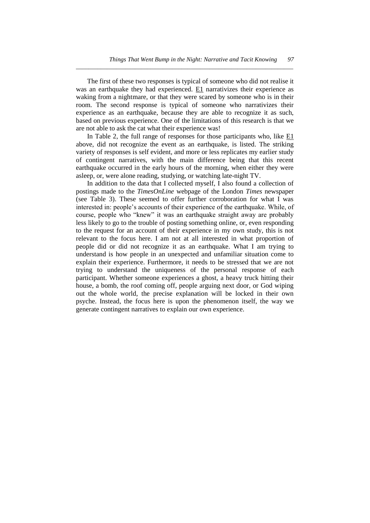The first of these two responses is typical of someone who did not realise it was an earthquake they had experienced. E1 narrativizes their experience as waking from a nightmare, or that they were scared by someone who is in their room. The second response is typical of someone who narrativizes their experience as an earthquake, because they are able to recognize it as such, based on previous experience. One of the limitations of this research is that we are not able to ask the cat what their experience was!

*\_\_\_\_\_\_\_\_\_\_\_\_\_\_\_\_\_\_\_\_\_\_\_\_\_\_\_\_\_\_\_\_\_\_\_\_\_\_\_\_\_\_\_\_\_\_\_\_\_\_\_\_\_\_\_\_\_\_\_\_\_\_\_\_\_\_\_\_\_\_*

In Table 2, the full range of responses for those participants who, like  $E1$ above, did not recognize the event as an earthquake, is listed. The striking variety of responses is self evident, and more or less replicates my earlier study of contingent narratives, with the main difference being that this recent earthquake occurred in the early hours of the morning, when either they were asleep, or, were alone reading, studying, or watching late-night TV.

In addition to the data that I collected myself, I also found a collection of postings made to the *TimesOnLine* webpage of the London *Times* newspaper (see Table 3). These seemed to offer further corroboration for what I was interested in: people's accounts of their experience of the earthquake. While, of course, people who "knew" it was an earthquake straight away are probably less likely to go to the trouble of posting something online, or, even responding to the request for an account of their experience in my own study, this is not relevant to the focus here. I am not at all interested in what proportion of people did or did not recognize it as an earthquake. What I am trying to understand is how people in an unexpected and unfamiliar situation come to explain their experience. Furthermore, it needs to be stressed that we are not trying to understand the uniqueness of the personal response of each participant. Whether someone experiences a ghost, a heavy truck hitting their house, a bomb, the roof coming off, people arguing next door, or God wiping out the whole world, the precise explanation will be locked in their own psyche. Instead, the focus here is upon the phenomenon itself, the way we generate contingent narratives to explain our own experience.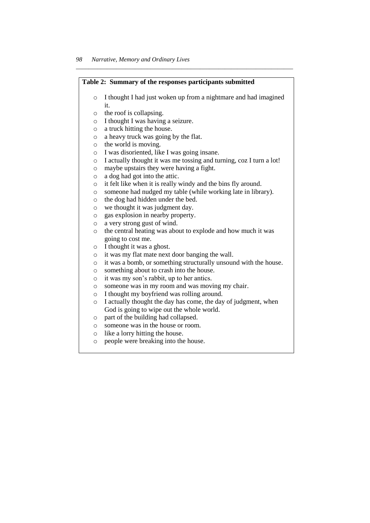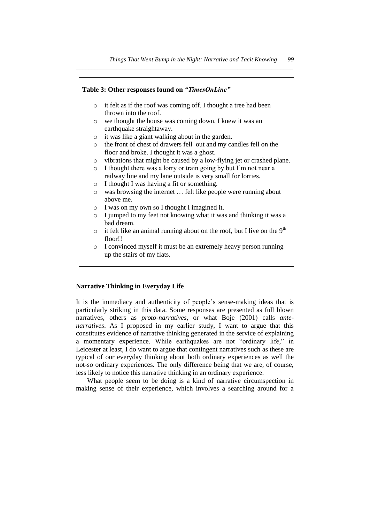

#### **Narrative Thinking in Everyday Life**

It is the immediacy and authenticity of people's sense-making ideas that is particularly striking in this data. Some responses are presented as full blown narratives, others as *proto-narratives,* or what Boje (2001) calls *antenarratives*. As I proposed in my earlier study, I want to argue that this constitutes evidence of narrative thinking generated in the service of explaining a momentary experience. While earthquakes are not "ordinary life," in Leicester at least, I do want to argue that contingent narratives such as these are typical of our everyday thinking about both ordinary experiences as well the not-so ordinary experiences. The only difference being that we are, of course, less likely to notice this narrative thinking in an ordinary experience.

What people seem to be doing is a kind of narrative circumspection in making sense of their experience, which involves a searching around for a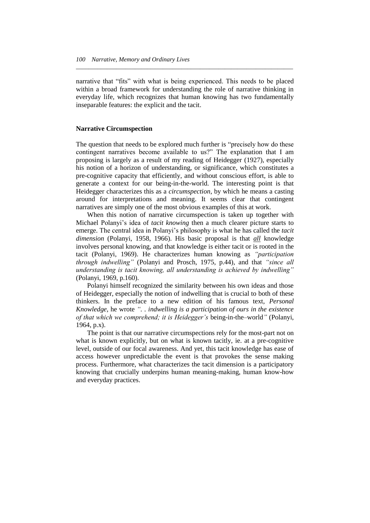narrative that "fits" with what is being experienced. This needs to be placed within a broad framework for understanding the role of narrative thinking in everyday life, which recognizes that human knowing has two fundamentally inseparable features: the explicit and the tacit.

*\_\_\_\_\_\_\_\_\_\_\_\_\_\_\_\_\_\_\_\_\_\_\_\_\_\_\_\_\_\_\_\_\_\_\_\_\_\_\_\_\_\_\_\_\_\_\_\_\_\_\_\_\_\_\_\_\_\_\_\_\_\_\_\_\_\_\_\_\_\_*

# **Narrative Circumspection**

The question that needs to be explored much further is "precisely how do these contingent narratives become available to us?" The explanation that I am proposing is largely as a result of my reading of Heidegger (1927), especially his notion of a horizon of understanding, or significance, which constitutes a pre-cognitive capacity that efficiently, and without conscious effort, is able to generate a context for our being-in-the-world. The interesting point is that Heidegger characterizes this as a *circumspection*, by which he means a casting around for interpretations and meaning. It seems clear that contingent narratives are simply one of the most obvious examples of this at work.

When this notion of narrative circumspection is taken up together with Michael Polanyi's idea of *tacit knowing* then a much clearer picture starts to emerge. The central idea in Polanyi's philosophy is what he has called the *tacit dimension* (Polanyi, 1958, 1966). His basic proposal is that *all* knowledge involves personal knowing, and that knowledge is either tacit or is rooted in the tacit (Polanyi, 1969). He characterizes human knowing as *"participation through indwelling"* (Polanyi and Prosch, 1975, p.44), and that *"since all understanding is tacit knowing, all understanding is achieved by indwelling"*  (Polanyi, 1969, p.160).

Polanyi himself recognized the similarity between his own ideas and those of Heidegger, especially the notion of indwelling that is crucial to both of these thinkers. In the preface to a new edition of his famous text, *Personal Knowledge*, he wrote *". . indwelling is a participation of ours in the existence of that which we comprehend; it is Heidegger"s* being-in-the–world*"* (Polanyi, 1964, p.x).

The point is that our narrative circumspections rely for the most-part not on what is known explicitly, but on what is known tacitly, ie. at a pre-cognitive level, outside of our focal awareness. And yet, this tacit knowledge has ease of access however unpredictable the event is that provokes the sense making process. Furthermore, what characterizes the tacit dimension is a participatory knowing that crucially underpins human meaning-making, human know-how and everyday practices.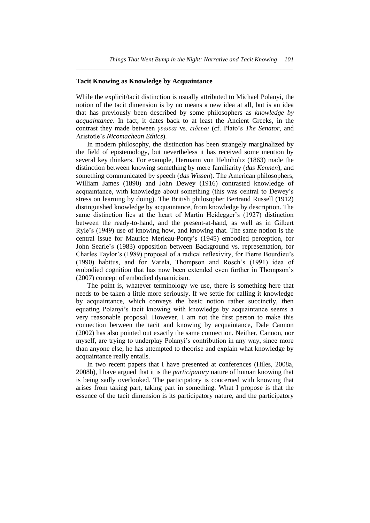# **Tacit Knowing as Knowledge by Acquaintance**

While the explicit/tacit distinction is usually attributed to Michael Polanyi, the notion of the tacit dimension is by no means a new idea at all, but is an idea that has previously been described by some philosophers as *knowledge by acquaintance*. In fact, it dates back to at least the Ancient Greeks, in the contrast they made between *γυωυαι* vs. *ειδευαι* (cf. Plato's *The Senator,* and Aristotle's *Nicomachean Ethics*).

*\_\_\_\_\_\_\_\_\_\_\_\_\_\_\_\_\_\_\_\_\_\_\_\_\_\_\_\_\_\_\_\_\_\_\_\_\_\_\_\_\_\_\_\_\_\_\_\_\_\_\_\_\_\_\_\_\_\_\_\_\_\_\_\_\_\_\_\_\_\_*

In modern philosophy, the distinction has been strangely marginalized by the field of epistemology, but nevertheless it has received some mention by several key thinkers. For example, Hermann von Helmholtz (1863) made the distinction between knowing something by mere familiarity (*das Kennen*), and something communicated by speech (*das Wissen*). The American philosophers, William James (1890) and John Dewey (1916) contrasted knowledge of acquaintance, with knowledge about something (this was central to Dewey's stress on learning by doing). The British philosopher Bertrand Russell (1912) distinguished knowledge by acquaintance, from knowledge by description. The same distinction lies at the heart of Martin Heidegger's (1927) distinction between the ready-to-hand, and the present-at-hand, as well as in Gilbert Ryle's (1949) use of knowing how, and knowing that. The same notion is the central issue for Maurice Merleau-Ponty's (1945) embodied perception, for John Searle's (1983) opposition between Background vs. representation, for Charles Taylor's (1989) proposal of a radical reflexivity, for Pierre Bourdieu's (1990) habitus, and for Varela, Thompson and Rosch's (1991) idea of embodied cognition that has now been extended even further in Thompson's (2007) concept of embodied dynamicism.

The point is, whatever terminology we use, there is something here that needs to be taken a little more seriously. If we settle for calling it knowledge by acquaintance, which conveys the basic notion rather succinctly, then equating Polanyi's tacit knowing with knowledge by acquaintance seems a very reasonable proposal. However, I am not the first person to make this connection between the tacit and knowing by acquaintance, Dale Cannon (2002) has also pointed out exactly the same connection. Neither, Cannon, nor myself, are trying to underplay Polanyi's contribution in any way, since more than anyone else, he has attempted to theorise and explain what knowledge by acquaintance really entails.

In two recent papers that I have presented at conferences (Hiles, 2008a, 2008b), I have argued that it is the *participatory* nature of human knowing that is being sadly overlooked. The participatory is concerned with knowing that arises from taking part, taking part in something. What I propose is that the essence of the tacit dimension is its participatory nature, and the participatory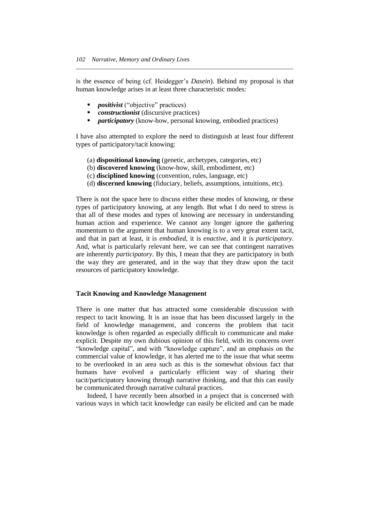is the essence of being (cf. Heidegger's *Dasein*). Behind my proposal is that human knowledge arises in at least three characteristic modes:

*\_\_\_\_\_\_\_\_\_\_\_\_\_\_\_\_\_\_\_\_\_\_\_\_\_\_\_\_\_\_\_\_\_\_\_\_\_\_\_\_\_\_\_\_\_\_\_\_\_\_\_\_\_\_\_\_\_\_\_\_\_\_\_\_\_\_\_\_\_\_*

- *positivist* ("objective" practices)
- *constructionist* (discursive practices)
- *participatory* (know-how, personal knowing, embodied practices)

I have also attempted to explore the need to distinguish at least four different types of participatory/tacit knowing:

- (a) **dispositional knowing** (genetic, archetypes, categories, etc)
- (b) **discovered knowing** (know-how, skill, embodiment, etc)
- (c) **disciplined knowing** (convention, rules, language, etc)
- (d) **discerned knowing** (fiduciary, beliefs, assumptions, intuitions, etc).

There is not the space here to discuss either these modes of knowing, or these types of participatory knowing, at any length. But what I do need to stress is that all of these modes and types of knowing are necessary in understanding human action and experience. We cannot any longer ignore the gathering momentum to the argument that human knowing is to a very great extent tacit, and that in part at least, it is *embodied*, it is *enactive*, and it is *participatory.* And, what is particularly relevant here, we can see that contingent narratives are inherently *participatory*. By this, I mean that they are participatory in both the way they are generated, and in the way that they draw upon the tacit resources of participatory knowledge.

# **Tacit Knowing and Knowledge Management**

There is one matter that has attracted some considerable discussion with respect to tacit knowing. It is an issue that has been discussed largely in the field of knowledge management, and concerns the problem that tacit knowledge is often regarded as especially difficult to communicate and make explicit. Despite my own dubious opinion of this field, with its concerns over "knowledge capital", and with "knowledge capture", and an emphasis on the commercial value of knowledge, it has alerted me to the issue that what seems to be overlooked in an area such as this is the somewhat obvious fact that humans have evolved a particularly efficient way of sharing their tacit/participatory knowing through narrative thinking, and that this can easily be communicated through narrative cultural practices.

Indeed, I have recently been absorbed in a project that is concerned with various ways in which tacit knowledge can easily be elicited and can be made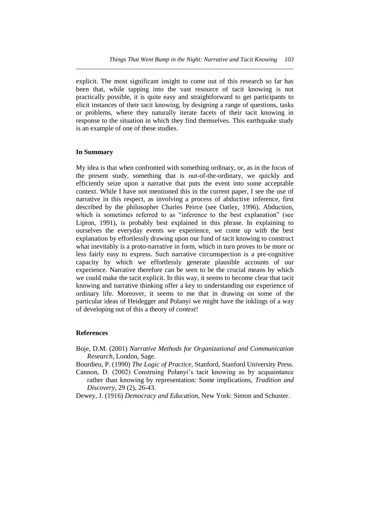explicit. The most significant insight to come out of this research so far has been that, while tapping into the vast resource of tacit knowing is not practically possible, it is quite easy and straightforward to get participants to elicit instances of their tacit knowing, by designing a range of questions, tasks or problems, where they naturally iterate facets of their tacit knowing in response to the situation in which they find themselves. This earthquake study is an example of one of these studies.

*\_\_\_\_\_\_\_\_\_\_\_\_\_\_\_\_\_\_\_\_\_\_\_\_\_\_\_\_\_\_\_\_\_\_\_\_\_\_\_\_\_\_\_\_\_\_\_\_\_\_\_\_\_\_\_\_\_\_\_\_\_\_\_\_\_\_\_\_\_\_*

# **In Summary**

My idea is that when confronted with something ordinary, or, as in the focus of the present study, something that is out-of-the-ordinary, we quickly and efficiently seize upon a narrative that puts the event into some acceptable context. While I have not mentioned this in the current paper, I see the use of narrative in this respect, as involving a process of abductive inference, first described by the philosopher Charles Peirce (see Oatley, 1996). Abduction, which is sometimes referred to as "inference to the best explanation" (see Lipton, 1991), is probably best explained in this phrase. In explaining to ourselves the everyday events we experience, we come up with the best explanation by effortlessly drawing upon our fund of tacit knowing to construct what inevitably is a proto-narrative in form, which in turn proves to be more or less fairly easy to express. Such narrative circumspection is a pre-cognitive capacity by which we effortlessly generate plausible accounts of our experience. Narrative therefore can be seen to be the crucial means by which we could make the tacit explicit. In this way, it seems to become clear that tacit knowing and narrative thinking offer a key to understanding our experience of ordinary life. Moreover, it seems to me that in drawing on some of the particular ideas of Heidegger and Polanyi we might have the inklings of a way of developing out of this a theory of *context*!

# **References**

Boje, D.M. (2001) *Narrative Methods for Organizational and Communication Research*, London, Sage.

Bourdieu, P. (1990) *The Logic of Practice,* Stanford, Stanford University Press.

- Cannon, D. (2002) Construing Polanyi's tacit knowing as by acquaintance rather than knowing by representation: Some implications, *Tradition and Discovery*, 29 (2), 26-43.
- Dewey, J. (1916) *Democracy and Education*, New York: Simon and Schuster.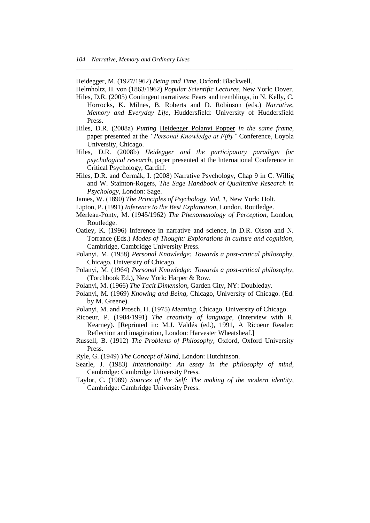Heidegger, M. (1927/1962) *Being and Time*, Oxford: Blackwell.

Helmholtz, H. von (1863/1962) *Popular Scientific Lectures*, New York: Dover.

*\_\_\_\_\_\_\_\_\_\_\_\_\_\_\_\_\_\_\_\_\_\_\_\_\_\_\_\_\_\_\_\_\_\_\_\_\_\_\_\_\_\_\_\_\_\_\_\_\_\_\_\_\_\_\_\_\_\_\_\_\_\_\_\_\_\_\_\_\_\_*

- Hiles, D.R. (2005) Contingent narratives: Fears and tremblings, in N. Kelly, C. Horrocks, K. Milnes, B. Roberts and D. Robinson (eds.) *Narrative, Memory and Everyday Life*, Huddersfield: University of Huddersfield Press.
- Hiles, D.R. (2008a) *Putting* Heidegger Polanyi Popper *in the same frame*, paper presented at the *"Personal Knowledge at Fifty"* Conference, Loyola University, Chicago.
- Hiles, D.R. (2008b) *Heidegger and the participatory paradigm for psychological research*, paper presented at the International Conference in Critical Psychology, Cardiff.
- Hiles, D.R. and Čermák, I. (2008) Narrative Psychology, Chap 9 in C. Willig and W. Stainton-Rogers, *The Sage Handbook of Qualitative Research in Psychology*, London: Sage.
- James, W. (1890) *The Principles of Psychology, Vol. 1*, New York: Holt.
- Lipton, P. (1991) *Inference to the Best Explanation*, London, Routledge.
- Merleau-Ponty, M. (1945/1962) *The Phenomenology of Perception*, London, Routledge.
- Oatley, K. (1996) Inference in narrative and science, in D.R. Olson and N. Torrance (Eds.) *Modes of Thought: Explorations in culture and cognition,* Cambridge, Cambridge University Press.
- Polanyi, M. (1958) *Personal Knowledge: Towards a post-critical philosophy,* Chicago, University of Chicago.
- Polanyi, M. (1964) *Personal Knowledge: Towards a post-critical philosophy*, (Torchbook Ed.), New York: Harper & Row.
- Polanyi, M. (1966) *The Tacit Dimension*, Garden City, NY: Doubleday.
- Polanyi, M. (1969) *Knowing and Being*, Chicago, University of Chicago. (Ed. by M. Greene).
- Polanyi, M. and Prosch, H. (1975) *Meaning,* Chicago, University of Chicago.
- Ricoeur, P. (1984/1991) *The creativity of language*, (Interview with R. Kearney). [Reprinted in: M.J. Valdés (ed.), 1991, A Ricoeur Reader: Reflection and imagination, London: Harvester Wheatsheaf.]
- Russell, B. (1912) *The Problems of Philosophy,* Oxford, Oxford University Press.
- Ryle, G. (1949) *The Concept of Mind*, London: Hutchinson.
- Searle, J. (1983) *Intentionality: An essay in the philosophy of mind*, Cambridge: Cambridge University Press.
- Taylor, C. (1989) *Sources of the Self: The making of the modern identity*, Cambridge: Cambridge University Press.